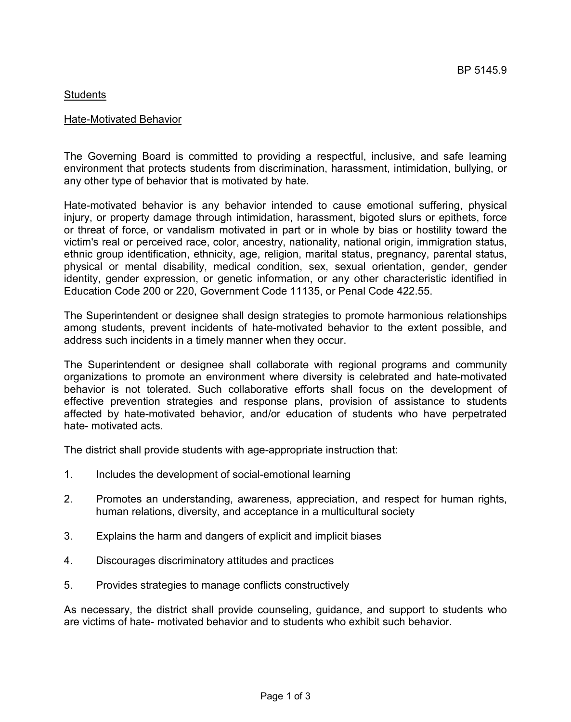# Students

# Hate-Motivated Behavior

The Governing Board is committed to providing a respectful, inclusive, and safe learning environment that protects students from discrimination, harassment, intimidation, bullying, or any other type of behavior that is motivated by hate.

Hate-motivated behavior is any behavior intended to cause emotional suffering, physical injury, or property damage through intimidation, harassment, bigoted slurs or epithets, force or threat of force, or vandalism motivated in part or in whole by bias or hostility toward the victim's real or perceived race, color, ancestry, nationality, national origin, immigration status, ethnic group identification, ethnicity, age, religion, marital status, pregnancy, parental status, physical or mental disability, medical condition, sex, sexual orientation, gender, gender identity, gender expression, or genetic information, or any other characteristic identified in Education Code 200 or 220, Government Code 11135, or Penal Code 422.55.

The Superintendent or designee shall design strategies to promote harmonious relationships among students, prevent incidents of hate-motivated behavior to the extent possible, and address such incidents in a timely manner when they occur.

The Superintendent or designee shall collaborate with regional programs and community organizations to promote an environment where diversity is celebrated and hate-motivated behavior is not tolerated. Such collaborative efforts shall focus on the development of effective prevention strategies and response plans, provision of assistance to students affected by hate-motivated behavior, and/or education of students who have perpetrated hate- motivated acts.

The district shall provide students with age-appropriate instruction that:

- 1. Includes the development of social-emotional learning
- 2. Promotes an understanding, awareness, appreciation, and respect for human rights, human relations, diversity, and acceptance in a multicultural society
- 3. Explains the harm and dangers of explicit and implicit biases
- 4. Discourages discriminatory attitudes and practices
- 5. Provides strategies to manage conflicts constructively

As necessary, the district shall provide counseling, guidance, and support to students who are victims of hate- motivated behavior and to students who exhibit such behavior.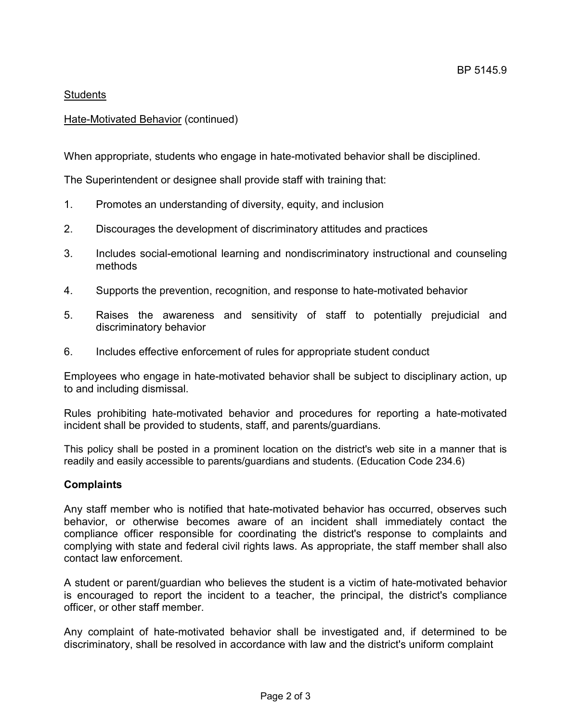# **Students**

# Hate-Motivated Behavior (continued)

When appropriate, students who engage in hate-motivated behavior shall be disciplined.

The Superintendent or designee shall provide staff with training that:

- 1. Promotes an understanding of diversity, equity, and inclusion
- 2. Discourages the development of discriminatory attitudes and practices
- 3. Includes social-emotional learning and nondiscriminatory instructional and counseling methods
- 4. Supports the prevention, recognition, and response to hate-motivated behavior
- 5. Raises the awareness and sensitivity of staff to potentially prejudicial and discriminatory behavior
- 6. Includes effective enforcement of rules for appropriate student conduct

Employees who engage in hate-motivated behavior shall be subject to disciplinary action, up to and including dismissal.

Rules prohibiting hate-motivated behavior and procedures for reporting a hate-motivated incident shall be provided to students, staff, and parents/guardians.

This policy shall be posted in a prominent location on the district's web site in a manner that is readily and easily accessible to parents/guardians and students. (Education Code 234.6)

# **Complaints**

Any staff member who is notified that hate-motivated behavior has occurred, observes such behavior, or otherwise becomes aware of an incident shall immediately contact the compliance officer responsible for coordinating the district's response to complaints and complying with state and federal civil rights laws. As appropriate, the staff member shall also contact law enforcement.

A student or parent/guardian who believes the student is a victim of hate-motivated behavior is encouraged to report the incident to a teacher, the principal, the district's compliance officer, or other staff member.

Any complaint of hate-motivated behavior shall be investigated and, if determined to be discriminatory, shall be resolved in accordance with law and the district's uniform complaint